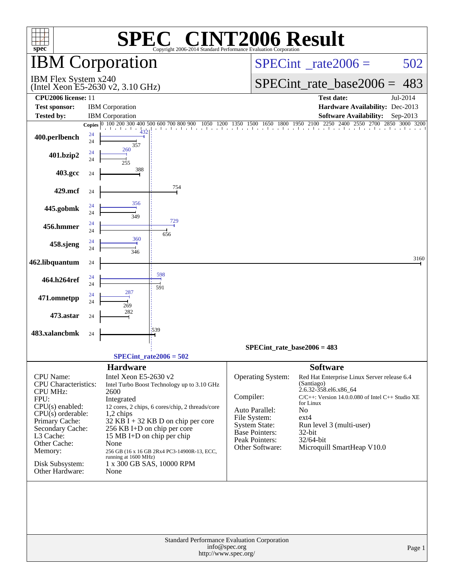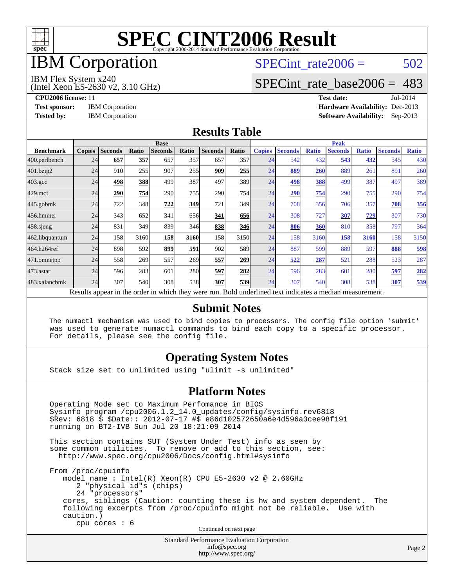

## IBM Corporation

## SPECint rate $2006 = 502$

#### IBM Flex System x240

(Intel Xeon E5-2630 v2, 3.10 GHz)

[SPECint\\_rate\\_base2006 =](http://www.spec.org/auto/cpu2006/Docs/result-fields.html#SPECintratebase2006) 483

**[CPU2006 license:](http://www.spec.org/auto/cpu2006/Docs/result-fields.html#CPU2006license)** 11 **[Test date:](http://www.spec.org/auto/cpu2006/Docs/result-fields.html#Testdate)** Jul-2014 **[Test sponsor:](http://www.spec.org/auto/cpu2006/Docs/result-fields.html#Testsponsor)** IBM Corporation **[Hardware Availability:](http://www.spec.org/auto/cpu2006/Docs/result-fields.html#HardwareAvailability)** Dec-2013 **[Tested by:](http://www.spec.org/auto/cpu2006/Docs/result-fields.html#Testedby)** IBM Corporation **[Software Availability:](http://www.spec.org/auto/cpu2006/Docs/result-fields.html#SoftwareAvailability)** Sep-2013

#### **[Results Table](http://www.spec.org/auto/cpu2006/Docs/result-fields.html#ResultsTable)**

|                    | <b>Base</b>   |                |       |                                                                                                          |            |                |                  | <b>Peak</b>   |                |              |                |              |                |              |
|--------------------|---------------|----------------|-------|----------------------------------------------------------------------------------------------------------|------------|----------------|------------------|---------------|----------------|--------------|----------------|--------------|----------------|--------------|
| <b>Benchmark</b>   | <b>Copies</b> | <b>Seconds</b> | Ratio | <b>Seconds</b>                                                                                           | Ratio      | <b>Seconds</b> | Ratio            | <b>Copies</b> | <b>Seconds</b> | <b>Ratio</b> | <b>Seconds</b> | <b>Ratio</b> | <b>Seconds</b> | <b>Ratio</b> |
| 400.perlbench      | 24            | 657            | 357   | 657                                                                                                      | 357        | 657            | 357              | 24            | 542            | 432          | 543            | 432          | 545            | 430          |
| 401.bzip2          | 24            | 910            | 255   | 907                                                                                                      | 255        | 909            | 255              | 24            | 889            | 260          | 889            | 261          | 891            | 260          |
| $403.\mathrm{gcc}$ | 24            | 498            | 388   | 499                                                                                                      | 387        | 497            | 389I             | 24            | 498            | 388          | 499            | 387          | 497            | 389          |
| $429$ .mcf         | 24            | 290            | 754   | 290                                                                                                      | 755        | 290            | 754l             | 24            | 290            | 754          | 290            | 755          | 290            | 754          |
| $445$ .gobmk       | 24            | 722            | 348   | 722                                                                                                      | 349        | 721            | 349 <sub>l</sub> | 24            | 708            | 356          | 706            | 357          | 708            | 356          |
| 456.hmmer          | 24            | 343            | 652   | 341                                                                                                      | 656        | 341            | 656              | 24            | 308            | 727          | 307            | <u>729</u>   | 307            | 730          |
| 458 sjeng          | 24            | 831            | 349   | 839                                                                                                      | 346        | 838            | <b>346</b>       | 24            | 806            | 360          | 810            | 358          | 797            | 364          |
| 462.libquantum     | 24            | 158            | 3160  | 158                                                                                                      | 3160       | 158            | 3150             | 24            | 158            | 3160         | 158            | 3160         | 158            | 3150         |
| 464.h264ref        | 24            | 898            | 592   | 899                                                                                                      | 591        | 902            | 589I             | 24            | 887            | 599          | 889            | 597          | 888            | 598          |
| 471.omnetpp        | 24            | 558            | 269   | 557                                                                                                      | 269        | 557            | 269              | 24            | 522            | 287          | 521            | 288          | 523            | 287          |
| $473$ . astar      | 24            | 596            | 283   | 601                                                                                                      | <b>280</b> | 597            | <b>282</b>       | 24            | 596            | 283          | 601            | 280          | 597            | 282          |
| 483.xalancbmk      | 24            | 307            | 540   | 308                                                                                                      | 538        | 307            | 539              | 24            | 307            | 540          | 308            | 538          | 307            | 539          |
|                    |               |                |       | Results appear in the order in which they were run. Bold underlined text indicates a median measurement. |            |                |                  |               |                |              |                |              |                |              |

#### **[Submit Notes](http://www.spec.org/auto/cpu2006/Docs/result-fields.html#SubmitNotes)**

 The numactl mechanism was used to bind copies to processors. The config file option 'submit' was used to generate numactl commands to bind each copy to a specific processor. For details, please see the config file.

#### **[Operating System Notes](http://www.spec.org/auto/cpu2006/Docs/result-fields.html#OperatingSystemNotes)**

Stack size set to unlimited using "ulimit -s unlimited"

#### **[Platform Notes](http://www.spec.org/auto/cpu2006/Docs/result-fields.html#PlatformNotes)**

 Operating Mode set to Maximum Perfomance in BIOS Sysinfo program /cpu2006.1.2\_14.0\_updates/config/sysinfo.rev6818 \$Rev: 6818 \$ \$Date:: 2012-07-17 #\$ e86d102572650a6e4d596a3cee98f191 running on BT2-IVB Sun Jul 20 18:21:09 2014

 This section contains SUT (System Under Test) info as seen by some common utilities. To remove or add to this section, see: <http://www.spec.org/cpu2006/Docs/config.html#sysinfo>

 From /proc/cpuinfo model name : Intel(R) Xeon(R) CPU E5-2630 v2 @ 2.60GHz 2 "physical id"s (chips) 24 "processors" cores, siblings (Caution: counting these is hw and system dependent. The following excerpts from /proc/cpuinfo might not be reliable. Use with caution.) cpu cores : 6

Continued on next page

Standard Performance Evaluation Corporation [info@spec.org](mailto:info@spec.org) <http://www.spec.org/>

Page 2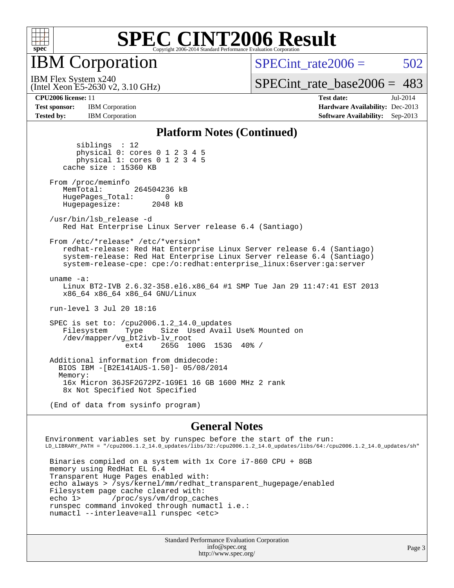

**IBM** Corporation

(Intel Xeon E5-2630 v2, 3.10 GHz)

SPECint rate $2006 = 502$ 

[SPECint\\_rate\\_base2006 =](http://www.spec.org/auto/cpu2006/Docs/result-fields.html#SPECintratebase2006) 483

IBM Flex System x240

**[Test sponsor:](http://www.spec.org/auto/cpu2006/Docs/result-fields.html#Testsponsor)** IBM Corporation **[Hardware Availability:](http://www.spec.org/auto/cpu2006/Docs/result-fields.html#HardwareAvailability)** Dec-2013 **[Tested by:](http://www.spec.org/auto/cpu2006/Docs/result-fields.html#Testedby)** IBM Corporation **[Software Availability:](http://www.spec.org/auto/cpu2006/Docs/result-fields.html#SoftwareAvailability)** Sep-2013

**[CPU2006 license:](http://www.spec.org/auto/cpu2006/Docs/result-fields.html#CPU2006license)** 11 **[Test date:](http://www.spec.org/auto/cpu2006/Docs/result-fields.html#Testdate)** Jul-2014

#### **[Platform Notes \(Continued\)](http://www.spec.org/auto/cpu2006/Docs/result-fields.html#PlatformNotes)**

 siblings : 12 physical 0: cores 0 1 2 3 4 5 physical 1: cores 0 1 2 3 4 5 cache size : 15360 KB From /proc/meminfo MemTotal: 264504236 kB HugePages\_Total: 0<br>Hugepagesize: 2048 kB Hugepagesize: /usr/bin/lsb\_release -d Red Hat Enterprise Linux Server release 6.4 (Santiago) From /etc/\*release\* /etc/\*version\* redhat-release: Red Hat Enterprise Linux Server release 6.4 (Santiago) system-release: Red Hat Enterprise Linux Server release 6.4 (Santiago) system-release-cpe: cpe:/o:redhat:enterprise\_linux:6server:ga:server uname -a: Linux BT2-IVB 2.6.32-358.el6.x86\_64 #1 SMP Tue Jan 29 11:47:41 EST 2013 x86\_64 x86\_64 x86\_64 GNU/Linux run-level 3 Jul 20 18:16 SPEC is set to: /cpu2006.1.2\_14.0\_updates<br>Filesystem Type Size Used Avail Size Used Avail Use% Mounted on /dev/mapper/vg\_bt2ivb-lv\_root ext4 265G 100G 153G 40% / Additional information from dmidecode: BIOS IBM -[B2E141AUS-1.50]- 05/08/2014 Memory: 16x Micron 36JSF2G72PZ-1G9E1 16 GB 1600 MHz 2 rank 8x Not Specified Not Specified (End of data from sysinfo program)

#### **[General Notes](http://www.spec.org/auto/cpu2006/Docs/result-fields.html#GeneralNotes)**

Environment variables set by runspec before the start of the run: LD\_LIBRARY\_PATH = "/cpu2006.1.2\_14.0\_updates/libs/32:/cpu2006.1.2\_14.0\_updates/libs/64:/cpu2006.1.2\_14.0\_updates/sh"

 Binaries compiled on a system with 1x Core i7-860 CPU + 8GB memory using RedHat EL 6.4 Transparent Huge Pages enabled with: echo always > /sys/kernel/mm/redhat\_transparent\_hugepage/enabled Filesystem page cache cleared with: echo 1> /proc/sys/vm/drop\_caches runspec command invoked through numactl i.e.: numactl --interleave=all runspec <etc>

> Standard Performance Evaluation Corporation [info@spec.org](mailto:info@spec.org) <http://www.spec.org/>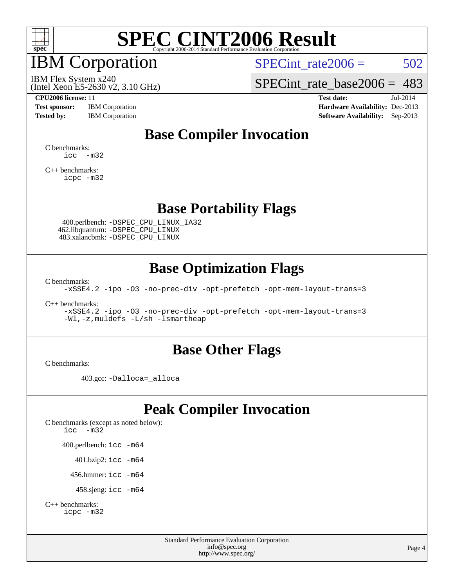

## IBM Corporation

SPECint rate $2006 = 502$ 

(Intel Xeon E5-2630 v2, 3.10 GHz) IBM Flex System x240

[SPECint\\_rate\\_base2006 =](http://www.spec.org/auto/cpu2006/Docs/result-fields.html#SPECintratebase2006) 483

**[Test sponsor:](http://www.spec.org/auto/cpu2006/Docs/result-fields.html#Testsponsor)** IBM Corporation **[Hardware Availability:](http://www.spec.org/auto/cpu2006/Docs/result-fields.html#HardwareAvailability)** Dec-2013

**[CPU2006 license:](http://www.spec.org/auto/cpu2006/Docs/result-fields.html#CPU2006license)** 11 **[Test date:](http://www.spec.org/auto/cpu2006/Docs/result-fields.html#Testdate)** Jul-2014 [Tested by:](http://www.spec.org/auto/cpu2006/Docs/result-fields.html#Testedby) IBM Corporation **[Software Availability:](http://www.spec.org/auto/cpu2006/Docs/result-fields.html#SoftwareAvailability)** Sep-2013

## **[Base Compiler Invocation](http://www.spec.org/auto/cpu2006/Docs/result-fields.html#BaseCompilerInvocation)**

[C benchmarks](http://www.spec.org/auto/cpu2006/Docs/result-fields.html#Cbenchmarks):  $\text{icc}$   $-\text{m32}$ 

[C++ benchmarks:](http://www.spec.org/auto/cpu2006/Docs/result-fields.html#CXXbenchmarks) [icpc -m32](http://www.spec.org/cpu2006/results/res2014q3/cpu2006-20140725-30572.flags.html#user_CXXbase_intel_icpc_4e5a5ef1a53fd332b3c49e69c3330699)

### **[Base Portability Flags](http://www.spec.org/auto/cpu2006/Docs/result-fields.html#BasePortabilityFlags)**

 400.perlbench: [-DSPEC\\_CPU\\_LINUX\\_IA32](http://www.spec.org/cpu2006/results/res2014q3/cpu2006-20140725-30572.flags.html#b400.perlbench_baseCPORTABILITY_DSPEC_CPU_LINUX_IA32) 462.libquantum: [-DSPEC\\_CPU\\_LINUX](http://www.spec.org/cpu2006/results/res2014q3/cpu2006-20140725-30572.flags.html#b462.libquantum_baseCPORTABILITY_DSPEC_CPU_LINUX) 483.xalancbmk: [-DSPEC\\_CPU\\_LINUX](http://www.spec.org/cpu2006/results/res2014q3/cpu2006-20140725-30572.flags.html#b483.xalancbmk_baseCXXPORTABILITY_DSPEC_CPU_LINUX)

### **[Base Optimization Flags](http://www.spec.org/auto/cpu2006/Docs/result-fields.html#BaseOptimizationFlags)**

[C benchmarks](http://www.spec.org/auto/cpu2006/Docs/result-fields.html#Cbenchmarks):

[-xSSE4.2](http://www.spec.org/cpu2006/results/res2014q3/cpu2006-20140725-30572.flags.html#user_CCbase_f-xSSE42_f91528193cf0b216347adb8b939d4107) [-ipo](http://www.spec.org/cpu2006/results/res2014q3/cpu2006-20140725-30572.flags.html#user_CCbase_f-ipo) [-O3](http://www.spec.org/cpu2006/results/res2014q3/cpu2006-20140725-30572.flags.html#user_CCbase_f-O3) [-no-prec-div](http://www.spec.org/cpu2006/results/res2014q3/cpu2006-20140725-30572.flags.html#user_CCbase_f-no-prec-div) [-opt-prefetch](http://www.spec.org/cpu2006/results/res2014q3/cpu2006-20140725-30572.flags.html#user_CCbase_f-opt-prefetch) [-opt-mem-layout-trans=3](http://www.spec.org/cpu2006/results/res2014q3/cpu2006-20140725-30572.flags.html#user_CCbase_f-opt-mem-layout-trans_a7b82ad4bd7abf52556d4961a2ae94d5)

[C++ benchmarks:](http://www.spec.org/auto/cpu2006/Docs/result-fields.html#CXXbenchmarks)

[-xSSE4.2](http://www.spec.org/cpu2006/results/res2014q3/cpu2006-20140725-30572.flags.html#user_CXXbase_f-xSSE42_f91528193cf0b216347adb8b939d4107) [-ipo](http://www.spec.org/cpu2006/results/res2014q3/cpu2006-20140725-30572.flags.html#user_CXXbase_f-ipo) [-O3](http://www.spec.org/cpu2006/results/res2014q3/cpu2006-20140725-30572.flags.html#user_CXXbase_f-O3) [-no-prec-div](http://www.spec.org/cpu2006/results/res2014q3/cpu2006-20140725-30572.flags.html#user_CXXbase_f-no-prec-div) [-opt-prefetch](http://www.spec.org/cpu2006/results/res2014q3/cpu2006-20140725-30572.flags.html#user_CXXbase_f-opt-prefetch) [-opt-mem-layout-trans=3](http://www.spec.org/cpu2006/results/res2014q3/cpu2006-20140725-30572.flags.html#user_CXXbase_f-opt-mem-layout-trans_a7b82ad4bd7abf52556d4961a2ae94d5) [-Wl,-z,muldefs](http://www.spec.org/cpu2006/results/res2014q3/cpu2006-20140725-30572.flags.html#user_CXXbase_link_force_multiple1_74079c344b956b9658436fd1b6dd3a8a) [-L/sh -lsmartheap](http://www.spec.org/cpu2006/results/res2014q3/cpu2006-20140725-30572.flags.html#user_CXXbase_SmartHeap_32f6c82aa1ed9c52345d30cf6e4a0499)

### **[Base Other Flags](http://www.spec.org/auto/cpu2006/Docs/result-fields.html#BaseOtherFlags)**

[C benchmarks](http://www.spec.org/auto/cpu2006/Docs/result-fields.html#Cbenchmarks):

403.gcc: [-Dalloca=\\_alloca](http://www.spec.org/cpu2006/results/res2014q3/cpu2006-20140725-30572.flags.html#b403.gcc_baseEXTRA_CFLAGS_Dalloca_be3056838c12de2578596ca5467af7f3)

## **[Peak Compiler Invocation](http://www.spec.org/auto/cpu2006/Docs/result-fields.html#PeakCompilerInvocation)**

[C benchmarks \(except as noted below\)](http://www.spec.org/auto/cpu2006/Docs/result-fields.html#Cbenchmarksexceptasnotedbelow): [icc -m32](http://www.spec.org/cpu2006/results/res2014q3/cpu2006-20140725-30572.flags.html#user_CCpeak_intel_icc_5ff4a39e364c98233615fdd38438c6f2) 400.perlbench: [icc -m64](http://www.spec.org/cpu2006/results/res2014q3/cpu2006-20140725-30572.flags.html#user_peakCCLD400_perlbench_intel_icc_64bit_bda6cc9af1fdbb0edc3795bac97ada53) 401.bzip2: [icc -m64](http://www.spec.org/cpu2006/results/res2014q3/cpu2006-20140725-30572.flags.html#user_peakCCLD401_bzip2_intel_icc_64bit_bda6cc9af1fdbb0edc3795bac97ada53)

456.hmmer: [icc -m64](http://www.spec.org/cpu2006/results/res2014q3/cpu2006-20140725-30572.flags.html#user_peakCCLD456_hmmer_intel_icc_64bit_bda6cc9af1fdbb0edc3795bac97ada53)

458.sjeng: [icc -m64](http://www.spec.org/cpu2006/results/res2014q3/cpu2006-20140725-30572.flags.html#user_peakCCLD458_sjeng_intel_icc_64bit_bda6cc9af1fdbb0edc3795bac97ada53)

```
C++ benchmarks: 
icpc -m32
```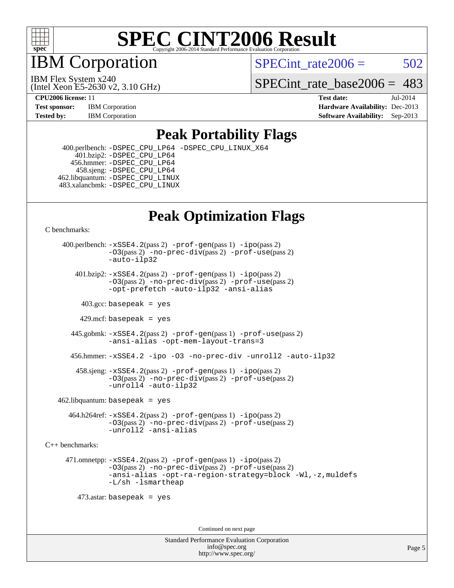

IBM Corporation

SPECint rate $2006 = 502$ 

(Intel Xeon E5-2630 v2, 3.10 GHz) IBM Flex System x240

SPECint rate base  $2006 = 483$ 

**[CPU2006 license:](http://www.spec.org/auto/cpu2006/Docs/result-fields.html#CPU2006license)** 11 **[Test date:](http://www.spec.org/auto/cpu2006/Docs/result-fields.html#Testdate)** Jul-2014 **[Test sponsor:](http://www.spec.org/auto/cpu2006/Docs/result-fields.html#Testsponsor)** IBM Corporation **[Hardware Availability:](http://www.spec.org/auto/cpu2006/Docs/result-fields.html#HardwareAvailability)** Dec-2013 **[Tested by:](http://www.spec.org/auto/cpu2006/Docs/result-fields.html#Testedby)** IBM Corporation **[Software Availability:](http://www.spec.org/auto/cpu2006/Docs/result-fields.html#SoftwareAvailability)** Sep-2013

### **[Peak Portability Flags](http://www.spec.org/auto/cpu2006/Docs/result-fields.html#PeakPortabilityFlags)**

 400.perlbench: [-DSPEC\\_CPU\\_LP64](http://www.spec.org/cpu2006/results/res2014q3/cpu2006-20140725-30572.flags.html#b400.perlbench_peakCPORTABILITY_DSPEC_CPU_LP64) [-DSPEC\\_CPU\\_LINUX\\_X64](http://www.spec.org/cpu2006/results/res2014q3/cpu2006-20140725-30572.flags.html#b400.perlbench_peakCPORTABILITY_DSPEC_CPU_LINUX_X64) 401.bzip2: [-DSPEC\\_CPU\\_LP64](http://www.spec.org/cpu2006/results/res2014q3/cpu2006-20140725-30572.flags.html#suite_peakCPORTABILITY401_bzip2_DSPEC_CPU_LP64) 456.hmmer: [-DSPEC\\_CPU\\_LP64](http://www.spec.org/cpu2006/results/res2014q3/cpu2006-20140725-30572.flags.html#suite_peakCPORTABILITY456_hmmer_DSPEC_CPU_LP64) 458.sjeng: [-DSPEC\\_CPU\\_LP64](http://www.spec.org/cpu2006/results/res2014q3/cpu2006-20140725-30572.flags.html#suite_peakCPORTABILITY458_sjeng_DSPEC_CPU_LP64) 462.libquantum: [-DSPEC\\_CPU\\_LINUX](http://www.spec.org/cpu2006/results/res2014q3/cpu2006-20140725-30572.flags.html#b462.libquantum_peakCPORTABILITY_DSPEC_CPU_LINUX) 483.xalancbmk: [-DSPEC\\_CPU\\_LINUX](http://www.spec.org/cpu2006/results/res2014q3/cpu2006-20140725-30572.flags.html#b483.xalancbmk_peakCXXPORTABILITY_DSPEC_CPU_LINUX)

## **[Peak Optimization Flags](http://www.spec.org/auto/cpu2006/Docs/result-fields.html#PeakOptimizationFlags)**

[C benchmarks](http://www.spec.org/auto/cpu2006/Docs/result-fields.html#Cbenchmarks):

 400.perlbench: [-xSSE4.2](http://www.spec.org/cpu2006/results/res2014q3/cpu2006-20140725-30572.flags.html#user_peakPASS2_CFLAGSPASS2_LDCFLAGS400_perlbench_f-xSSE42_f91528193cf0b216347adb8b939d4107)(pass 2) [-prof-gen](http://www.spec.org/cpu2006/results/res2014q3/cpu2006-20140725-30572.flags.html#user_peakPASS1_CFLAGSPASS1_LDCFLAGS400_perlbench_prof_gen_e43856698f6ca7b7e442dfd80e94a8fc)(pass 1) [-ipo](http://www.spec.org/cpu2006/results/res2014q3/cpu2006-20140725-30572.flags.html#user_peakPASS2_CFLAGSPASS2_LDCFLAGS400_perlbench_f-ipo)(pass 2) [-O3](http://www.spec.org/cpu2006/results/res2014q3/cpu2006-20140725-30572.flags.html#user_peakPASS2_CFLAGSPASS2_LDCFLAGS400_perlbench_f-O3)(pass 2) [-no-prec-div](http://www.spec.org/cpu2006/results/res2014q3/cpu2006-20140725-30572.flags.html#user_peakPASS2_CFLAGSPASS2_LDCFLAGS400_perlbench_f-no-prec-div)(pass 2) [-prof-use](http://www.spec.org/cpu2006/results/res2014q3/cpu2006-20140725-30572.flags.html#user_peakPASS2_CFLAGSPASS2_LDCFLAGS400_perlbench_prof_use_bccf7792157ff70d64e32fe3e1250b55)(pass 2) [-auto-ilp32](http://www.spec.org/cpu2006/results/res2014q3/cpu2006-20140725-30572.flags.html#user_peakCOPTIMIZE400_perlbench_f-auto-ilp32)  $401.bzip2: -xSSE4.2(pass 2) -prof-qen(pass 1) -ipo(pass 2)$  $401.bzip2: -xSSE4.2(pass 2) -prof-qen(pass 1) -ipo(pass 2)$  $401.bzip2: -xSSE4.2(pass 2) -prof-qen(pass 1) -ipo(pass 2)$  $401.bzip2: -xSSE4.2(pass 2) -prof-qen(pass 1) -ipo(pass 2)$  $401.bzip2: -xSSE4.2(pass 2) -prof-qen(pass 1) -ipo(pass 2)$ [-O3](http://www.spec.org/cpu2006/results/res2014q3/cpu2006-20140725-30572.flags.html#user_peakPASS2_CFLAGSPASS2_LDCFLAGS401_bzip2_f-O3)(pass 2) [-no-prec-div](http://www.spec.org/cpu2006/results/res2014q3/cpu2006-20140725-30572.flags.html#user_peakPASS2_CFLAGSPASS2_LDCFLAGS401_bzip2_f-no-prec-div)(pass 2) [-prof-use](http://www.spec.org/cpu2006/results/res2014q3/cpu2006-20140725-30572.flags.html#user_peakPASS2_CFLAGSPASS2_LDCFLAGS401_bzip2_prof_use_bccf7792157ff70d64e32fe3e1250b55)(pass 2) [-opt-prefetch](http://www.spec.org/cpu2006/results/res2014q3/cpu2006-20140725-30572.flags.html#user_peakCOPTIMIZE401_bzip2_f-opt-prefetch) [-auto-ilp32](http://www.spec.org/cpu2006/results/res2014q3/cpu2006-20140725-30572.flags.html#user_peakCOPTIMIZE401_bzip2_f-auto-ilp32) [-ansi-alias](http://www.spec.org/cpu2006/results/res2014q3/cpu2006-20140725-30572.flags.html#user_peakCOPTIMIZE401_bzip2_f-ansi-alias)  $403.\text{sec: basepeak}$  = yes 429.mcf: basepeak = yes 445.gobmk: [-xSSE4.2](http://www.spec.org/cpu2006/results/res2014q3/cpu2006-20140725-30572.flags.html#user_peakPASS2_CFLAGSPASS2_LDCFLAGS445_gobmk_f-xSSE42_f91528193cf0b216347adb8b939d4107)(pass 2) [-prof-gen](http://www.spec.org/cpu2006/results/res2014q3/cpu2006-20140725-30572.flags.html#user_peakPASS1_CFLAGSPASS1_LDCFLAGS445_gobmk_prof_gen_e43856698f6ca7b7e442dfd80e94a8fc)(pass 1) [-prof-use](http://www.spec.org/cpu2006/results/res2014q3/cpu2006-20140725-30572.flags.html#user_peakPASS2_CFLAGSPASS2_LDCFLAGS445_gobmk_prof_use_bccf7792157ff70d64e32fe3e1250b55)(pass 2) [-ansi-alias](http://www.spec.org/cpu2006/results/res2014q3/cpu2006-20140725-30572.flags.html#user_peakCOPTIMIZE445_gobmk_f-ansi-alias) [-opt-mem-layout-trans=3](http://www.spec.org/cpu2006/results/res2014q3/cpu2006-20140725-30572.flags.html#user_peakCOPTIMIZE445_gobmk_f-opt-mem-layout-trans_a7b82ad4bd7abf52556d4961a2ae94d5) 456.hmmer: [-xSSE4.2](http://www.spec.org/cpu2006/results/res2014q3/cpu2006-20140725-30572.flags.html#user_peakCOPTIMIZE456_hmmer_f-xSSE42_f91528193cf0b216347adb8b939d4107) [-ipo](http://www.spec.org/cpu2006/results/res2014q3/cpu2006-20140725-30572.flags.html#user_peakCOPTIMIZE456_hmmer_f-ipo) [-O3](http://www.spec.org/cpu2006/results/res2014q3/cpu2006-20140725-30572.flags.html#user_peakCOPTIMIZE456_hmmer_f-O3) [-no-prec-div](http://www.spec.org/cpu2006/results/res2014q3/cpu2006-20140725-30572.flags.html#user_peakCOPTIMIZE456_hmmer_f-no-prec-div) [-unroll2](http://www.spec.org/cpu2006/results/res2014q3/cpu2006-20140725-30572.flags.html#user_peakCOPTIMIZE456_hmmer_f-unroll_784dae83bebfb236979b41d2422d7ec2) [-auto-ilp32](http://www.spec.org/cpu2006/results/res2014q3/cpu2006-20140725-30572.flags.html#user_peakCOPTIMIZE456_hmmer_f-auto-ilp32) 458.sjeng: [-xSSE4.2](http://www.spec.org/cpu2006/results/res2014q3/cpu2006-20140725-30572.flags.html#user_peakPASS2_CFLAGSPASS2_LDCFLAGS458_sjeng_f-xSSE42_f91528193cf0b216347adb8b939d4107)(pass 2) [-prof-gen](http://www.spec.org/cpu2006/results/res2014q3/cpu2006-20140725-30572.flags.html#user_peakPASS1_CFLAGSPASS1_LDCFLAGS458_sjeng_prof_gen_e43856698f6ca7b7e442dfd80e94a8fc)(pass 1) [-ipo](http://www.spec.org/cpu2006/results/res2014q3/cpu2006-20140725-30572.flags.html#user_peakPASS2_CFLAGSPASS2_LDCFLAGS458_sjeng_f-ipo)(pass 2) [-O3](http://www.spec.org/cpu2006/results/res2014q3/cpu2006-20140725-30572.flags.html#user_peakPASS2_CFLAGSPASS2_LDCFLAGS458_sjeng_f-O3)(pass 2) [-no-prec-div](http://www.spec.org/cpu2006/results/res2014q3/cpu2006-20140725-30572.flags.html#user_peakPASS2_CFLAGSPASS2_LDCFLAGS458_sjeng_f-no-prec-div)(pass 2) [-prof-use](http://www.spec.org/cpu2006/results/res2014q3/cpu2006-20140725-30572.flags.html#user_peakPASS2_CFLAGSPASS2_LDCFLAGS458_sjeng_prof_use_bccf7792157ff70d64e32fe3e1250b55)(pass 2) [-unroll4](http://www.spec.org/cpu2006/results/res2014q3/cpu2006-20140725-30572.flags.html#user_peakCOPTIMIZE458_sjeng_f-unroll_4e5e4ed65b7fd20bdcd365bec371b81f) [-auto-ilp32](http://www.spec.org/cpu2006/results/res2014q3/cpu2006-20140725-30572.flags.html#user_peakCOPTIMIZE458_sjeng_f-auto-ilp32)  $462$ .libquantum: basepeak = yes 464.h264ref: [-xSSE4.2](http://www.spec.org/cpu2006/results/res2014q3/cpu2006-20140725-30572.flags.html#user_peakPASS2_CFLAGSPASS2_LDCFLAGS464_h264ref_f-xSSE42_f91528193cf0b216347adb8b939d4107)(pass 2) [-prof-gen](http://www.spec.org/cpu2006/results/res2014q3/cpu2006-20140725-30572.flags.html#user_peakPASS1_CFLAGSPASS1_LDCFLAGS464_h264ref_prof_gen_e43856698f6ca7b7e442dfd80e94a8fc)(pass 1) [-ipo](http://www.spec.org/cpu2006/results/res2014q3/cpu2006-20140725-30572.flags.html#user_peakPASS2_CFLAGSPASS2_LDCFLAGS464_h264ref_f-ipo)(pass 2) [-O3](http://www.spec.org/cpu2006/results/res2014q3/cpu2006-20140725-30572.flags.html#user_peakPASS2_CFLAGSPASS2_LDCFLAGS464_h264ref_f-O3)(pass 2) [-no-prec-div](http://www.spec.org/cpu2006/results/res2014q3/cpu2006-20140725-30572.flags.html#user_peakPASS2_CFLAGSPASS2_LDCFLAGS464_h264ref_f-no-prec-div)(pass 2) [-prof-use](http://www.spec.org/cpu2006/results/res2014q3/cpu2006-20140725-30572.flags.html#user_peakPASS2_CFLAGSPASS2_LDCFLAGS464_h264ref_prof_use_bccf7792157ff70d64e32fe3e1250b55)(pass 2) [-unroll2](http://www.spec.org/cpu2006/results/res2014q3/cpu2006-20140725-30572.flags.html#user_peakCOPTIMIZE464_h264ref_f-unroll_784dae83bebfb236979b41d2422d7ec2) [-ansi-alias](http://www.spec.org/cpu2006/results/res2014q3/cpu2006-20140725-30572.flags.html#user_peakCOPTIMIZE464_h264ref_f-ansi-alias) [C++ benchmarks:](http://www.spec.org/auto/cpu2006/Docs/result-fields.html#CXXbenchmarks) 471.omnetpp: [-xSSE4.2](http://www.spec.org/cpu2006/results/res2014q3/cpu2006-20140725-30572.flags.html#user_peakPASS2_CXXFLAGSPASS2_LDCXXFLAGS471_omnetpp_f-xSSE42_f91528193cf0b216347adb8b939d4107)(pass 2) [-prof-gen](http://www.spec.org/cpu2006/results/res2014q3/cpu2006-20140725-30572.flags.html#user_peakPASS1_CXXFLAGSPASS1_LDCXXFLAGS471_omnetpp_prof_gen_e43856698f6ca7b7e442dfd80e94a8fc)(pass 1) [-ipo](http://www.spec.org/cpu2006/results/res2014q3/cpu2006-20140725-30572.flags.html#user_peakPASS2_CXXFLAGSPASS2_LDCXXFLAGS471_omnetpp_f-ipo)(pass 2) [-O3](http://www.spec.org/cpu2006/results/res2014q3/cpu2006-20140725-30572.flags.html#user_peakPASS2_CXXFLAGSPASS2_LDCXXFLAGS471_omnetpp_f-O3)(pass 2) [-no-prec-div](http://www.spec.org/cpu2006/results/res2014q3/cpu2006-20140725-30572.flags.html#user_peakPASS2_CXXFLAGSPASS2_LDCXXFLAGS471_omnetpp_f-no-prec-div)(pass 2) [-prof-use](http://www.spec.org/cpu2006/results/res2014q3/cpu2006-20140725-30572.flags.html#user_peakPASS2_CXXFLAGSPASS2_LDCXXFLAGS471_omnetpp_prof_use_bccf7792157ff70d64e32fe3e1250b55)(pass 2) [-ansi-alias](http://www.spec.org/cpu2006/results/res2014q3/cpu2006-20140725-30572.flags.html#user_peakCXXOPTIMIZE471_omnetpp_f-ansi-alias) [-opt-ra-region-strategy=block](http://www.spec.org/cpu2006/results/res2014q3/cpu2006-20140725-30572.flags.html#user_peakCXXOPTIMIZE471_omnetpp_f-opt-ra-region-strategy_a0a37c372d03933b2a18d4af463c1f69) [-Wl,-z,muldefs](http://www.spec.org/cpu2006/results/res2014q3/cpu2006-20140725-30572.flags.html#user_peakEXTRA_LDFLAGS471_omnetpp_link_force_multiple1_74079c344b956b9658436fd1b6dd3a8a) [-L/sh -lsmartheap](http://www.spec.org/cpu2006/results/res2014q3/cpu2006-20140725-30572.flags.html#user_peakEXTRA_LIBS471_omnetpp_SmartHeap_32f6c82aa1ed9c52345d30cf6e4a0499) 473.astar: basepeak = yes

Continued on next page

Standard Performance Evaluation Corporation [info@spec.org](mailto:info@spec.org) <http://www.spec.org/>